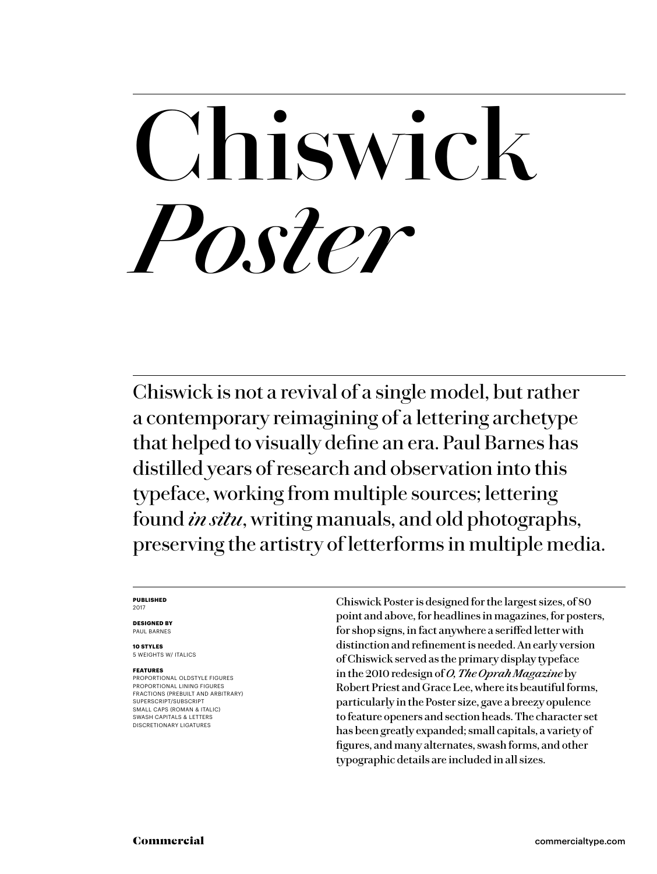# **Chiswick** *Poster*

Chiswick is not a revival of a single model, but rather a contemporary reimagining of a lettering archetype that helped to visually define an era. Paul Barnes has distilled years of research and observation into this typeface, working from multiple sources; lettering found *in situ*, writing manuals, and old photographs, preserving the artistry of letterforms in multiple media.

### **PUBLISHED** 2017

**DESIGNED BY** PAUL BARNES

**10 STYLES** 5 WEIGHTS W/ ITALICS

## **FEATURES**

PROPORTIONAL OLDSTYLE FIGURES PROPORTIONAL LINING FIGURES FRACTIONS (PREBUILT AND ARBITRARY) SUPERSCRIPT/SUBSCRIPT SMALL CAPS (ROMAN & ITALIC) SWASH CAPITALS & LETTERS DISCRETIONARY LIGATURES

Chiswick Poster is designed for the largest sizes, of 80 point and above, for headlines in magazines, for posters, for shop signs, in fact anywhere a seriffed letter with distinction and refinement is needed. An early version of Chiswick served as the primary display typeface in the 2010 redesign of *O, The Oprah Magazine* by Robert Priest and Grace Lee, where its beautiful forms, particularly in the Poster size, gave a breezy opulence to feature openers and section heads. The character set has been greatly expanded; small capitals, a variety of figures, and many alternates, swash forms, and other typographic details are included in all sizes.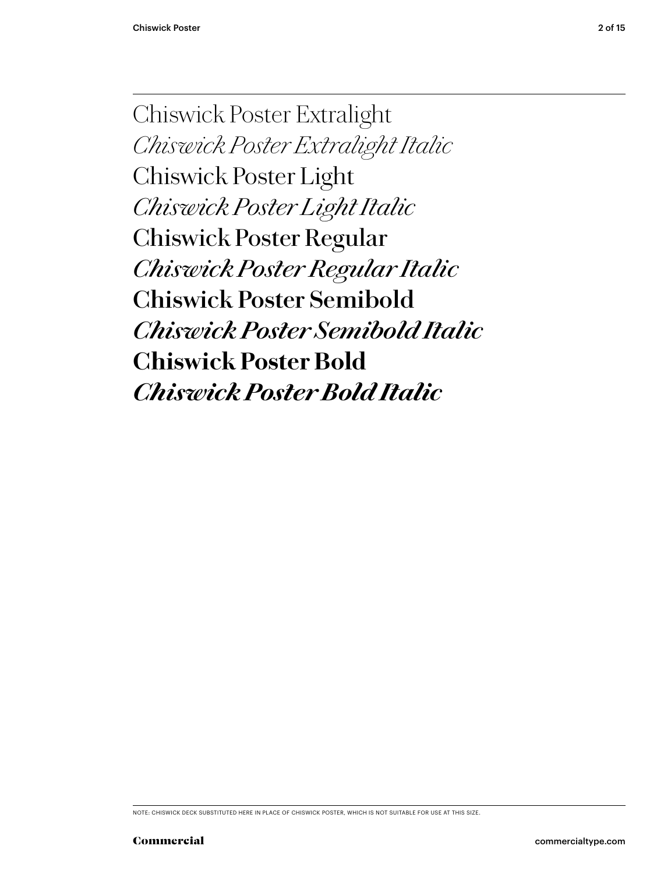Chiswick Poster Extralight *Chiswick Poster Extralight Italic* Chiswick Poster Light *Chiswick Poster Light Italic* Chiswick Poster Regular *Chiswick Poster Regular Italic* **Chiswick Poster Semibold** *Chiswick Poster Semibold Italic* **Chiswick Poster Bold** *Chiswick Poster Bold Italic*

NOTE: CHISWICK DECK SUBSTITUTED HERE IN PLACE OF CHISWICK POSTER, WHICH IS NOT SUITABLE FOR USE AT THIS SIZE.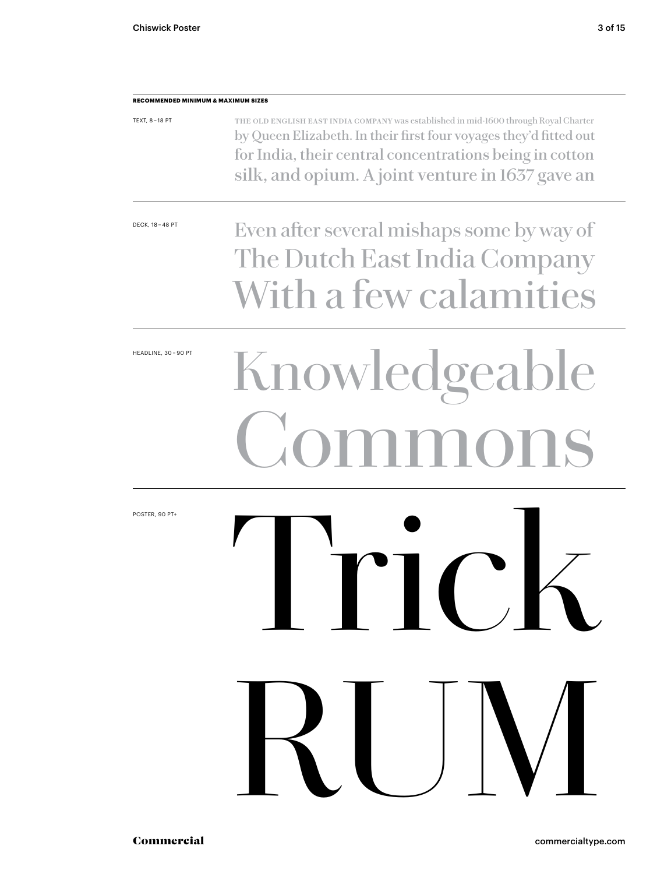| <b>RECOMMENDED MINIMUM &amp; MAXIMUM SIZES</b> |                                                                                                                                                                                                                                                                          |
|------------------------------------------------|--------------------------------------------------------------------------------------------------------------------------------------------------------------------------------------------------------------------------------------------------------------------------|
| TEXT, 8-18 PT                                  | THE OLD ENGLISH EAST INDIA COMPANY was established in mid-1600 through Royal Charter<br>by Queen Elizabeth. In their first four voyages they'd fitted out<br>for India, their central concentrations being in cotton<br>silk, and opium. A joint venture in 1637 gave an |
| DECK, 18 - 48 PT                               | Even after several mishaps some by way of<br>The Dutch East India Company<br>With a few calamities                                                                                                                                                                       |
| HEADLINE, 30-90 PT                             | Knowledgeable<br>Commons                                                                                                                                                                                                                                                 |
| POSTER, 90 PT+                                 | IIVN<br>RUM                                                                                                                                                                                                                                                              |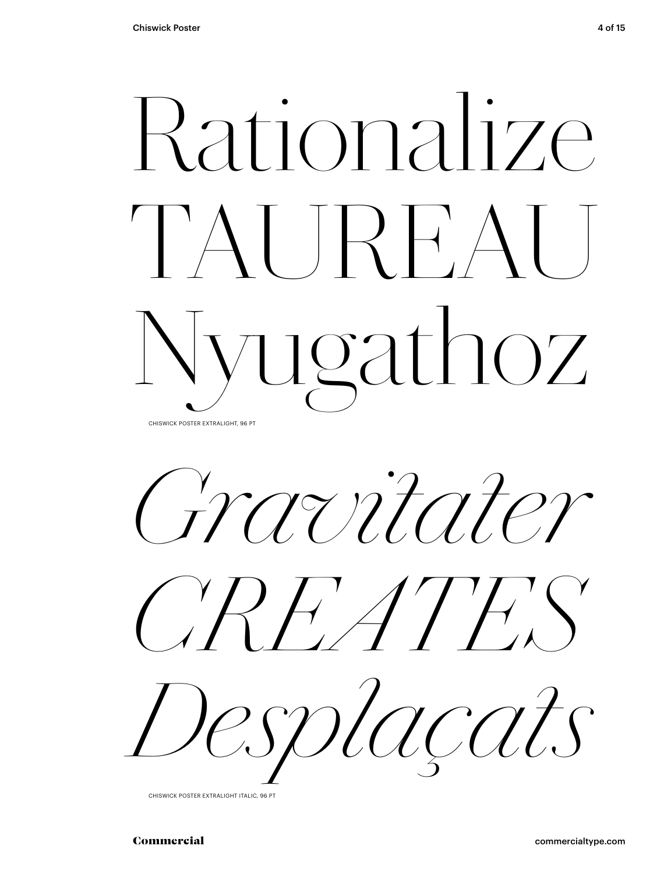# Rationalize TAUREAU Nyugathoz CHISWICK POSTER EXTRALIGHT, 96 PT

*Gravitater*





CHISWICK POSTER EXTRALIGHT ITALIC, 96 PT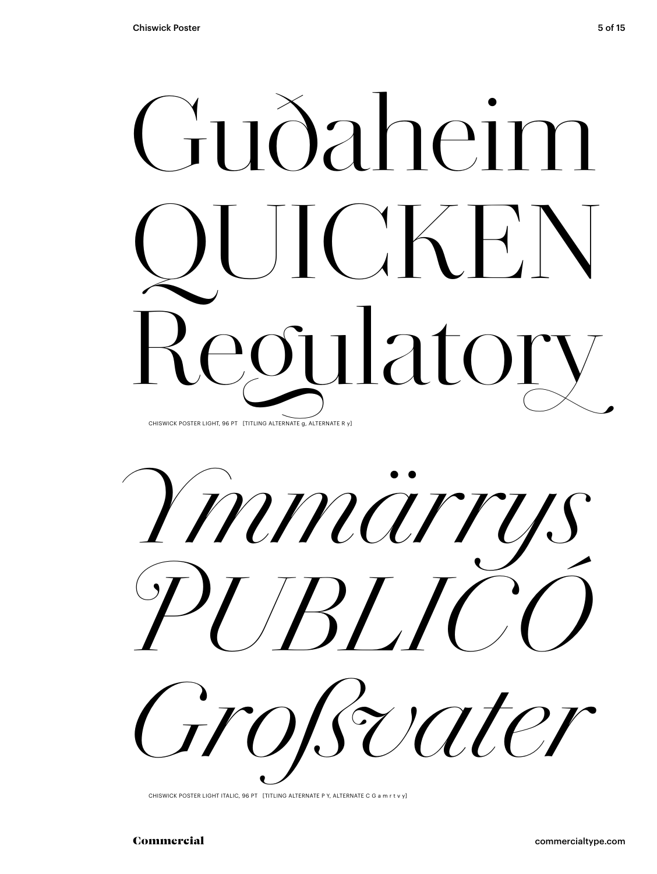



CHISWICK POSTER LIGHT ITALIC, 96 PT [TITLING ALTERNATE P Y, ALTERNATE C G a m r t v y]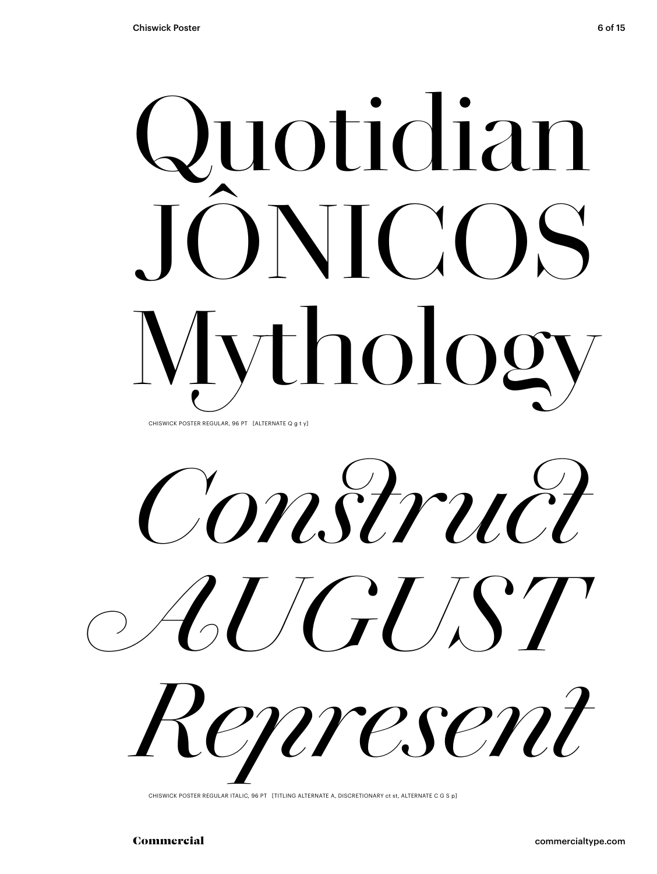# Quotidian JÔNICOS Mythology CHISWICK POSTER REGULAR, 96 PT [ALTERNATE Q q t y]

*Construct AUGUST Represent*

CHISWICK POSTER REGULAR ITALIC, 96 PT [TITLING ALTERNATE A, DISCRETIONARY ct st, ALTERNATE C G S p]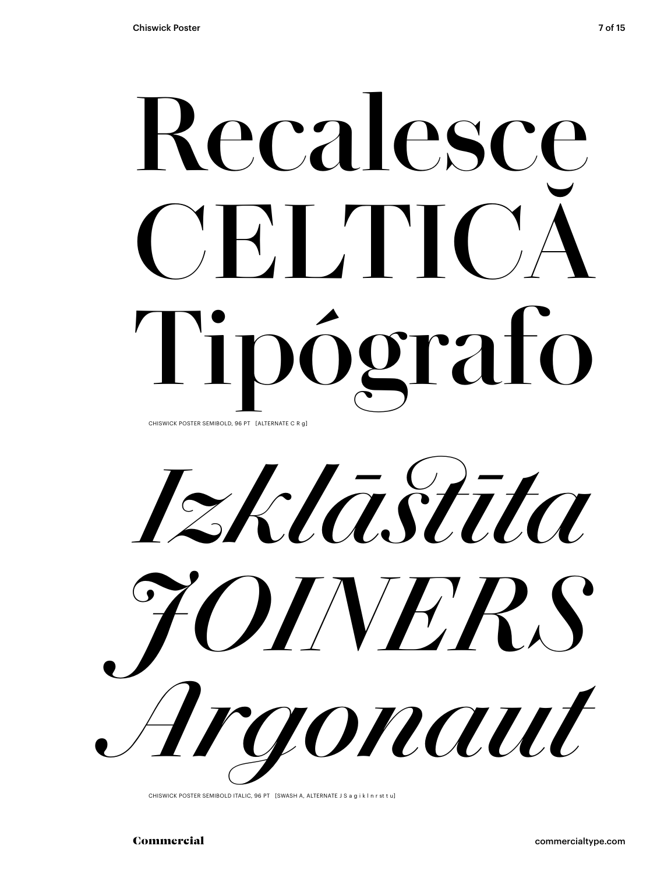# **Recalesce** CELTIC **Tipógrafo** CHISWICK POSTER SEMIBOLD, 96 PT [ALTERNATE C R g]

*Izklāstīta JOINERS Argonaut*

CHISWICK POSTER SEMIBOLD ITALIC, 96 PT [SWASH A, ALTERNATE J S a g i k l n r st t u]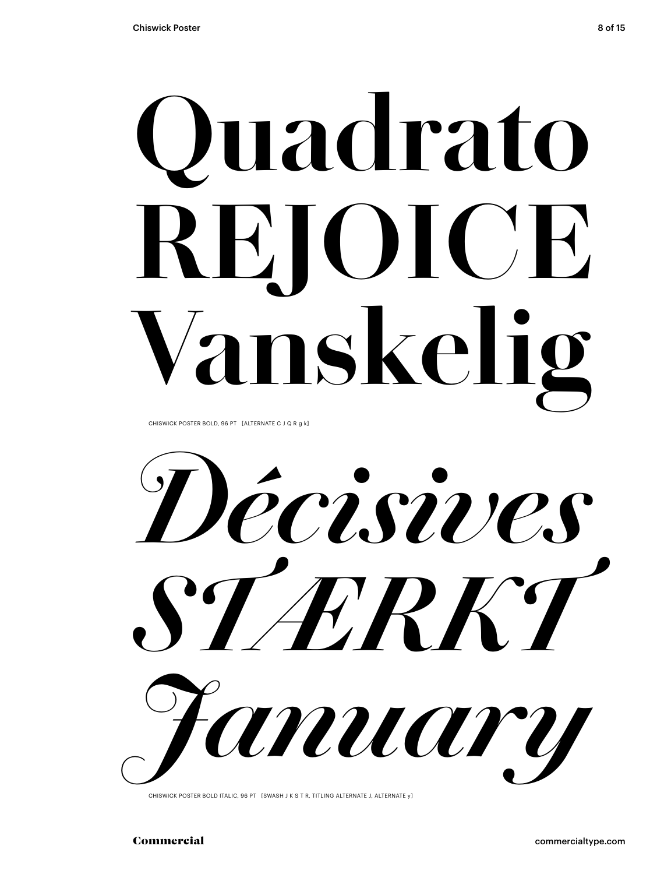# **Quadrato REJOICE nskeli**

CHISWICK POSTER BOLD, 96 PT [ALTERNATE C J Q R g k]

*Décisives STÆRKT January*

CHISWICK POSTER BOLD ITALIC, 96 PT [SWASH J K S T R, TITLING ALTERNATE J, ALTERNATE y]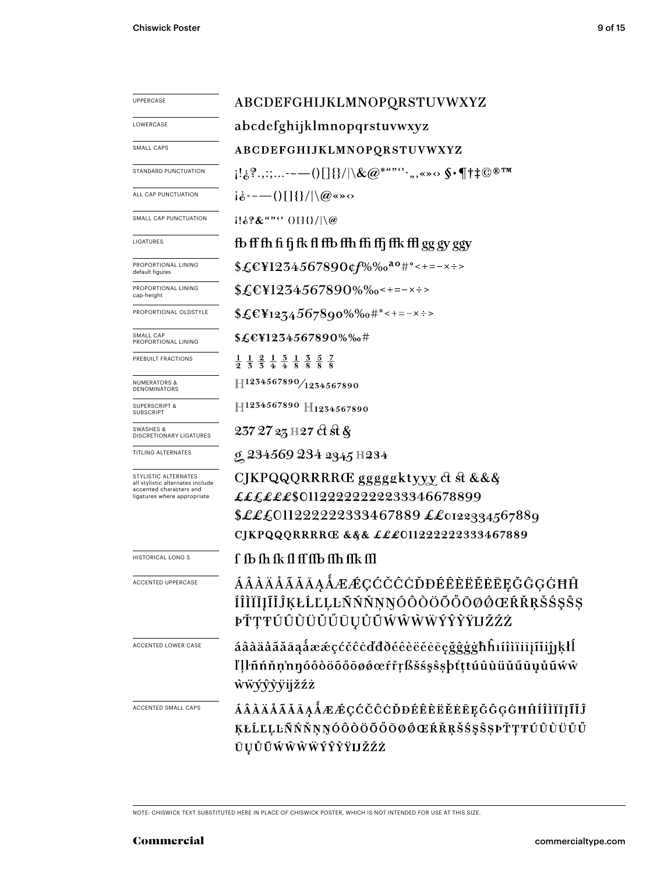| <b>UPPERCASE</b>                                                                                                   | ABCDEFGHIJKLMNOPQRSTUVWXYZ                                                                                                                                                                                                                                                                                                                                                                                                                                                                                                                                         |  |  |  |  |
|--------------------------------------------------------------------------------------------------------------------|--------------------------------------------------------------------------------------------------------------------------------------------------------------------------------------------------------------------------------------------------------------------------------------------------------------------------------------------------------------------------------------------------------------------------------------------------------------------------------------------------------------------------------------------------------------------|--|--|--|--|
| LOWERCASE                                                                                                          | abcdefghijklmnopqrstuvwxyz                                                                                                                                                                                                                                                                                                                                                                                                                                                                                                                                         |  |  |  |  |
| SMALL CAPS                                                                                                         | ABCDEFGHIJKLMNOPQRSTUVWXYZ                                                                                                                                                                                                                                                                                                                                                                                                                                                                                                                                         |  |  |  |  |
| STANDARD PUNCTUATION                                                                                               | $\{\ket{1}_{\hat{\mathcal{C}}}^2.,\ldots\cdots\!\!=\!\!-\!(\mathcal{C})[\{\}/ \backslash\&\mathcal{Q}^{*a\cdots c\cdots},\ldots\!\!\infty\!\!\in\!\!\P\uparrow\ddagger\mathbb{C}^{\,\circledast\,\mathrm{TM}}\}$                                                                                                                                                                                                                                                                                                                                                   |  |  |  |  |
| ALL CAP PUNCTUATION                                                                                                | $i\dot{\delta}$ ----()[]{}/ \@«»<>                                                                                                                                                                                                                                                                                                                                                                                                                                                                                                                                 |  |  |  |  |
| SMALL CAP PUNCTUATION                                                                                              | $ 1!\&? \&$ "" $\langle$ $ 1  \&C $                                                                                                                                                                                                                                                                                                                                                                                                                                                                                                                                |  |  |  |  |
| LIGATURES                                                                                                          | fb ff fh fi fj fk fl ffb ffh ffi ffj ffk ffl gg gy ggy                                                                                                                                                                                                                                                                                                                                                                                                                                                                                                             |  |  |  |  |
| PROPORTIONAL LINING<br>default figures                                                                             | \$£€¥1234567890¢f%‰ <sup>ao</sup> #°<+=-×÷>                                                                                                                                                                                                                                                                                                                                                                                                                                                                                                                        |  |  |  |  |
| PROPORTIONAL LINING<br>cap-height                                                                                  | $$£EY1234567890\%$ %0 < + = - x ÷ >                                                                                                                                                                                                                                                                                                                                                                                                                                                                                                                                |  |  |  |  |
| PROPORTIONAL OLDSTYLE                                                                                              | $$£EY1274567890\%$ %+" - + = - x ÷ >                                                                                                                                                                                                                                                                                                                                                                                                                                                                                                                               |  |  |  |  |
| SMALL CAP<br>PROPORTIONAL LINING                                                                                   | \$£€¥1234567890%‰#                                                                                                                                                                                                                                                                                                                                                                                                                                                                                                                                                 |  |  |  |  |
| PREBUILT FRACTIONS                                                                                                 | $\frac{1}{2}$ $\frac{1}{3}$ $\frac{2}{3}$ $\frac{1}{4}$ $\frac{3}{4}$ $\frac{1}{8}$ $\frac{3}{8}$ $\frac{5}{8}$ $\frac{7}{8}$                                                                                                                                                                                                                                                                                                                                                                                                                                      |  |  |  |  |
| <b>NUMERATORS &amp;</b><br><b>DENOMINATORS</b>                                                                     | $\left. \right. \left. \left. \right. \left. \right. \left. \right. \left. \left. \right. \left. \right. \left. \left. \right. \right. \left. \left. \right. \left. \right. \left. \left. \right. \right. \left. \left. \right. \left. \right. \left. \right. \left. \left. \right. \right. \left. \left. \right. \left. \right. \left. \left. \right. \right. \left. \left. \right. \left. \left. \right. \right. \left. \left. \right. \left. \right. \left. \left. \right. \right. \left. \left. \right. \left. \left. \right. \right. \left. \left. \right. \$ |  |  |  |  |
| <b>SUPERSCRIPT &amp;</b><br><b>SUBSCRIPT</b>                                                                       | H1234567890 H1234567890                                                                                                                                                                                                                                                                                                                                                                                                                                                                                                                                            |  |  |  |  |
| SWASHES &<br>DISCRETIONARY LIGATURES                                                                               | 237 27 23 H 27 ct st &                                                                                                                                                                                                                                                                                                                                                                                                                                                                                                                                             |  |  |  |  |
| TITLING ALTERNATES                                                                                                 | g 234569 234 2345 H234                                                                                                                                                                                                                                                                                                                                                                                                                                                                                                                                             |  |  |  |  |
| STYLISTIC ALTERNATES<br>all stylistic alternates include<br>accented characters and<br>ligatures where appropriate | CJKPQQQRRRRŒ gggggktyyy ct st &&&<br>££££££\$01122222222233346678899<br>$\pounds$ ££011222222333467889 ££0122334567889<br>CJKPQQQRRRRC & § & £££011222222333467889                                                                                                                                                                                                                                                                                                                                                                                                 |  |  |  |  |
| <b>HISTORICAL LONG S</b>                                                                                           | f fb fh fk fl ff ffb ffh ffk ffl                                                                                                                                                                                                                                                                                                                                                                                                                                                                                                                                   |  |  |  |  |
| <b>ACCENTED UPPERCASE</b>                                                                                          | ÁÂÀÄÅÃĂĀĄÅÆÆÇĆČĈĊĎĐÉÊÈËĔĖĒĘĞĜĢĠĦĤ<br>ÍÎÌÏĪĮĨĬĴĶŁĹĽĻĿÑŃŇŅŊÓÔÒÖŐŐŌØØŒŔŘŖŠŚŞŜŞ<br><b>ÞŤŢŦÚÛÙÜŬŰŪŲŮŨŴŴŴŴÝŶŶŸIJŽŹŻ</b>                                                                                                                                                                                                                                                                                                                                                                                                                                                  |  |  |  |  |
| ACCENTED LOWER CASE                                                                                                | áâàäåãăāąåææçćčĉċďđðéêèëĕēegğġġħĥıíîìïiijĩiĵןķłĺ<br>ľļŀñńňņ'nŋóôòöőőøøœŕřŗßšśşŝşþťţŧúûùüŭűūụůũẃŵ<br><b>wwyyvyjizzz</b>                                                                                                                                                                                                                                                                                                                                                                                                                                             |  |  |  |  |
| ACCENTED SMALL CAPS                                                                                                | <i>ÁÂÀÄÅÃĂĀĄÅÆÆÇĆČĈĊĎĐÉÊÈËĚĖĒĘĞĜĢĠĦĤÍÎÌÏĮĨĬĴ</i><br><b>KŁĹĽĻĿÑŃŇŅŊÓÔŎŎŐŐŎØŐŒŔŘŖŠŚŞŜŞÞŤŢŦÚÛÙÜŬŰ</b><br>ŪŲŮŨŴŴŴŴÝŶŶŸIJŽŹŻ                                                                                                                                                                                                                                                                                                                                                                                                                                            |  |  |  |  |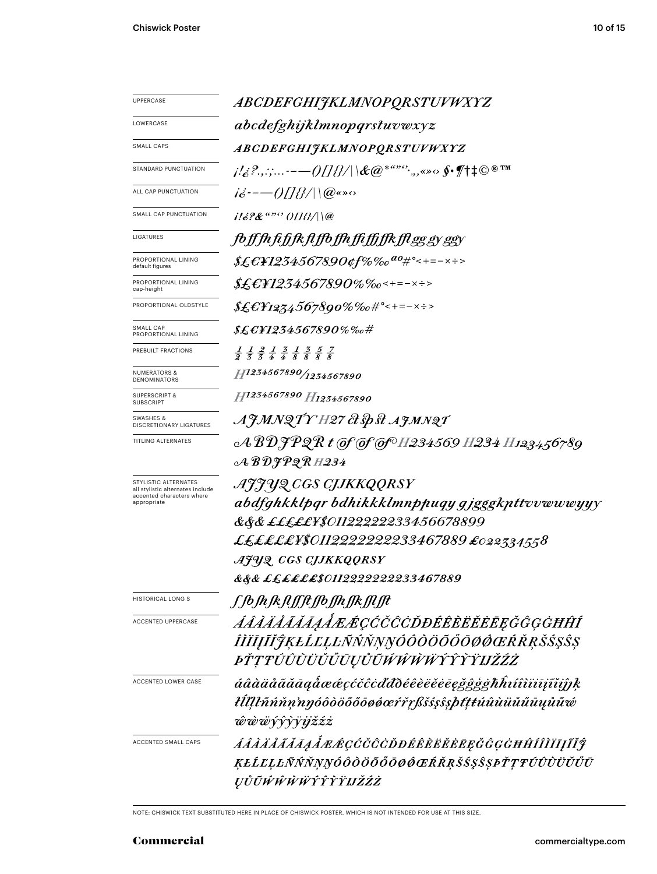| UPPERCASE                                                | <i>ABCDEFGHIJKLMNOPQRSTUVWXYZ</i>                                                                                             |  |  |
|----------------------------------------------------------|-------------------------------------------------------------------------------------------------------------------------------|--|--|
| LOWERCASE                                                | abcdefghijklmnopqrstuvwxyz                                                                                                    |  |  |
| <b>SMALL CAPS</b>                                        | <i>ABCDEFGHIJKLMNOPQRSTUVWXYZ</i>                                                                                             |  |  |
| STANDARD PUNCTUATION                                     | <i>¡!¿?.,:;-—()[]{}/\\&amp;@*""°`.,,«»</i> .◇ <b>∫</b> ^†‡©®™                                                                 |  |  |
| ALL CAP PUNCTUATION                                      | $i\dot{\varepsilon}$ :---()[]{}/ \@«» $\circ$                                                                                 |  |  |
| SMALL CAP PUNCTUATION                                    | $116$ ?&"" (IIB/\\@                                                                                                           |  |  |
| LIGATURES                                                | <i>foffhfifjkflffofhfiffffkfleggyegy</i>                                                                                      |  |  |
| PROPORTIONAL LINING<br>default figures                   | \$£&F1234567890¢f%‰ <sup>ao</sup> #°<+=-×÷>                                                                                   |  |  |
| PROPORTIONAL LINING<br>cap-height                        | \$£E¥1234567890%‰<+=-×÷>                                                                                                      |  |  |
| PROPORTIONAL OLDSTYLE                                    | $$£E$ F1234567890%%o#°<+=-×÷>                                                                                                 |  |  |
| SMALL CAP<br>PROPORTIONAL LINING                         | $\text{\it Æ${{\cal E}F1234567890\%}\%o\#}$                                                                                   |  |  |
| PREBUILT FRACTIONS                                       | $\frac{1}{2}$ $\frac{1}{3}$ $\frac{2}{3}$ $\frac{1}{4}$ $\frac{3}{8}$ $\frac{1}{8}$ $\frac{3}{8}$ $\frac{5}{8}$ $\frac{7}{8}$ |  |  |
| <b>NUMERATORS &amp;</b><br><b>DENOMINATORS</b>           | 11234567890/1234567890                                                                                                        |  |  |
| <b>SUPERSCRIPT &amp;</b><br><b>SUBSCRIPT</b>             | H1234567890 H1234567890                                                                                                       |  |  |
| SWASHES &<br>DISCRETIONARY LIGATURES                     | AJMNQTY H27 & Sp st AJMNQT                                                                                                    |  |  |
| TITLING ALTERNATES                                       |                                                                                                                               |  |  |
|                                                          | $\mathcal{A}\,\mathcal{B}\,\mathcal{D}\mathcal{F}\mathcal{PQ}\,\mathcal{R}$ H234                                              |  |  |
| STYLISTIC ALTERNATES<br>all stylistic alternates include | AJJYQ CGS CJJKKQQRSY                                                                                                          |  |  |
| accented characters where<br>appropriate                 | abdfghkklpgr bdhikkklmnppuqy gjgggkpttvvwwwyyy                                                                                |  |  |
|                                                          | &&& <i>£££££¥\$01122222233456678899</i>                                                                                       |  |  |
|                                                          | ££££££¥\$0112222222233467889 £022334558                                                                                       |  |  |
|                                                          | AJUQ CGS CJJKKQQRSY                                                                                                           |  |  |
|                                                          | &&& <i>££££££\$0112222222233467889</i>                                                                                        |  |  |
| <b>HISTORICAL LONG S</b>                                 | ſſb <i>ſ</i> nſĸ <i>ſŧſſſŧſſ</i> bſſnſſĸſſIJt                                                                                 |  |  |
| ACCENTED UPPERCASE                                       | ÁÂÀÄÅĂĂĀĄÅÆÆÇĆČĈĊĎĐÉÊÈËĔĔĒĘĞĜĢĠĦĤÍ                                                                                            |  |  |
|                                                          | ÎĬĬĪĮĨĬĴĶŁĹĽĻĿÑŃŇŅŊÓÔŎŎŎŎŌØŒŔŘŖŠŚŞŜŞ                                                                                          |  |  |
|                                                          | <i>ĿŤŢŦŰÛŨŬŬŰŨŲŮŨŴŴŴŴŶŶŶŸIJŽŹŻ</i>                                                                                            |  |  |
| ACCENTED LOWER CASE                                      | áâàäåããāaaåææçćčĉcďđðéêèëĕēegğĝģġħĥıíîìïiīįĩiĵĵķ                                                                              |  |  |
|                                                          | łĺllŀñńňn'nŋóôòöõőōøøœŕřŗßšśşŝşþťţŧúûùüŭűūųůũ¢                                                                                |  |  |
|                                                          | ŵŵŵŷŷỳïijžźż                                                                                                                  |  |  |
| ACCENTED SMALL CAPS                                      | ÁÂÀÄÅÃĂĀẠÅÆÆÇĆČĈÒĐÉÊÈĔĔĔĘĞĜĢĠĦĤÍÎÌĬĪĮĨĬĴ                                                                                      |  |  |
|                                                          | ĶŁĹĽĻĿÑŃŇŅŊÓÔŎŎŎŎŎØŒŔŘŖŠŚŞŜŞÞŤŢŦÚÛÙÜŬŰŪ                                                                                       |  |  |
|                                                          | ŲŮŨŴŴŴŴŶŶŶŸIJŽŹŻ                                                                                                              |  |  |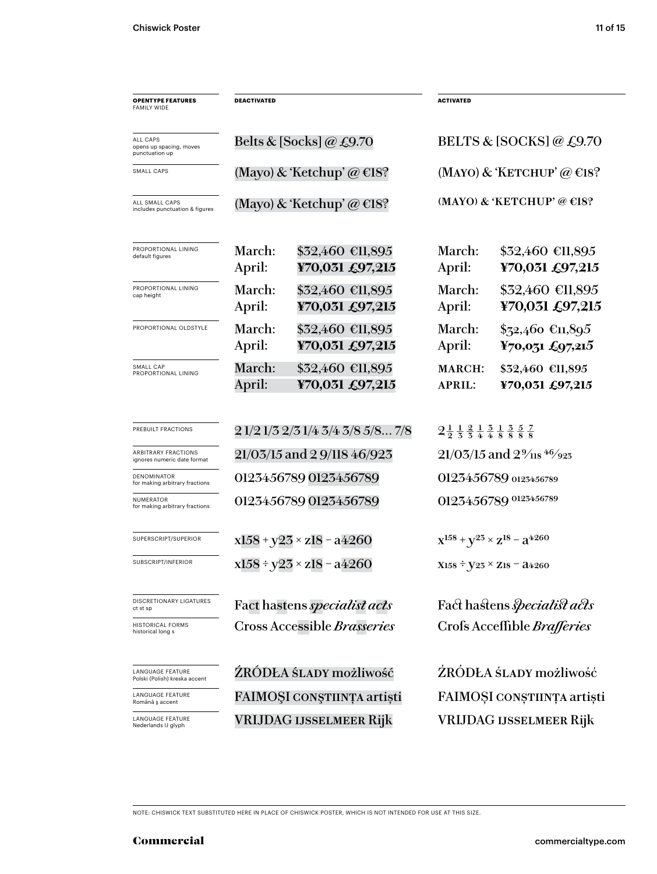| <b>OPENTYPE FEATURES</b><br><b>FAMILY WIDE</b>            | <b>DEACTIVATED</b>             |                                     | <b>ACTIVATED</b>                      |                                                                                                                                |  |
|-----------------------------------------------------------|--------------------------------|-------------------------------------|---------------------------------------|--------------------------------------------------------------------------------------------------------------------------------|--|
| ALL CAPS<br>opens up spacing, moves<br>punctuation up     |                                | Belts & [Socks] @ £9.70             | BELTS & [SOCKS] @ $£9.70$             |                                                                                                                                |  |
| SMALL CAPS                                                |                                | (Mayo) & 'Ketchup' @ $E18$ ?        |                                       | (MAYO) & 'KETCHUP' @ $\epsilon$ 18?                                                                                            |  |
| ALL SMALL CAPS<br>includes punctuation & figures          | (Mayo) & 'Ketchup' @ $\in$ 18? |                                     | (MAYO) & 'KETCHUP' @ $E$ 18?          |                                                                                                                                |  |
| PROPORTIONAL LINING<br>default figures                    | March:<br>April:               | \$32,460 €11,895<br>¥70,031 £97,215 | March:<br>April:                      | $$32,460$ €11,895<br>¥70,031 £97,215                                                                                           |  |
| PROPORTIONAL LINING<br>cap height                         | March:<br>April:               | \$32,460 €11,895<br>¥70,031 £97,215 | March:<br>April:                      | \$32,460 €11,895<br>¥70,031 £97,215                                                                                            |  |
| PROPORTIONAL OLDSTYLE                                     | March:<br>April:               | \$32,460 €11,895<br>¥70,031 £97,215 | March:<br>April:                      | $$72,460$ €11,895<br>¥70,031 £97,215                                                                                           |  |
| SMALL CAP<br>PROPORTIONAL LINING                          | March:<br>April:               | \$32,460 €11,895<br>¥70,031 £97,215 | MARCH:<br><b>APRIL:</b>               | \$32,460 €11,895<br>¥70,031 £97,215                                                                                            |  |
| PREBUILT FRACTIONS                                        |                                | 2 1/2 1/3 2/3 1/4 3/4 3/8 5/8 7/8   |                                       | $2\frac{1}{2}$ $\frac{1}{3}$ $\frac{2}{4}$ $\frac{1}{4}$ $\frac{3}{8}$ $\frac{1}{8}$ $\frac{3}{8}$ $\frac{5}{8}$ $\frac{7}{8}$ |  |
| <b>ARBITRARY FRACTIONS</b><br>ignores numeric date format | 21/03/15 and 2 9/118 46/923    |                                     | $21/03/15$ and $2\frac{9}{18}$ 46/923 |                                                                                                                                |  |
| <b>DENOMINATOR</b><br>for making arbitrary fractions      | 0123456789 0123456789          |                                     | 0123456789 0123456789                 |                                                                                                                                |  |
| <b>NUMERATOR</b><br>for making arbitrary fractions        |                                | 0123456789 0123456789               |                                       | 0123456789 0123456789                                                                                                          |  |
| SUPERSCRIPT/SUPERIOR                                      |                                | $x158 + y23 \times z18 - a4260$     |                                       | $X^{158} + V^{25} \times Z^{18} - 3^{4260}$                                                                                    |  |
| SUBSCRIPT/INFERIOR                                        |                                | $x158 \div y23 \times z18 - a4260$  |                                       | $X158 \div Y23 \times Z18 = 24260$                                                                                             |  |
| DISCRETIONARY LIGATURES<br>ct st sp                       |                                | Fact hastens specialist acts        |                                       | Fact hastens <i>specialist acts</i>                                                                                            |  |
| <b>HISTORICAL FORMS</b><br>historical long s              |                                | Cross Accessible Brasseries         |                                       | Crofs Acceffible Brafferies                                                                                                    |  |
| LANGUAGE FEATURE<br>Polski (Polish) kreska accent         |                                | ŹRÓDŁA ŚLADY możliwość              |                                       | ŹRÓDŁA ŚLADY możliwość                                                                                                         |  |
| LANGUAGE FEATURE<br>Română ș accent                       |                                | FAIMOȘI CONȘTIINȚA artiști          |                                       | FAIMOȘI CONȘTIINȚA artiști                                                                                                     |  |
| <b>LANGUAGE FEATURE</b><br>Nederlands IJ glyph            | <b>VRIJDAG IJSSELMEER Rijk</b> |                                     |                                       | <b>VRIJDAG IJSSELMEER Rijk</b>                                                                                                 |  |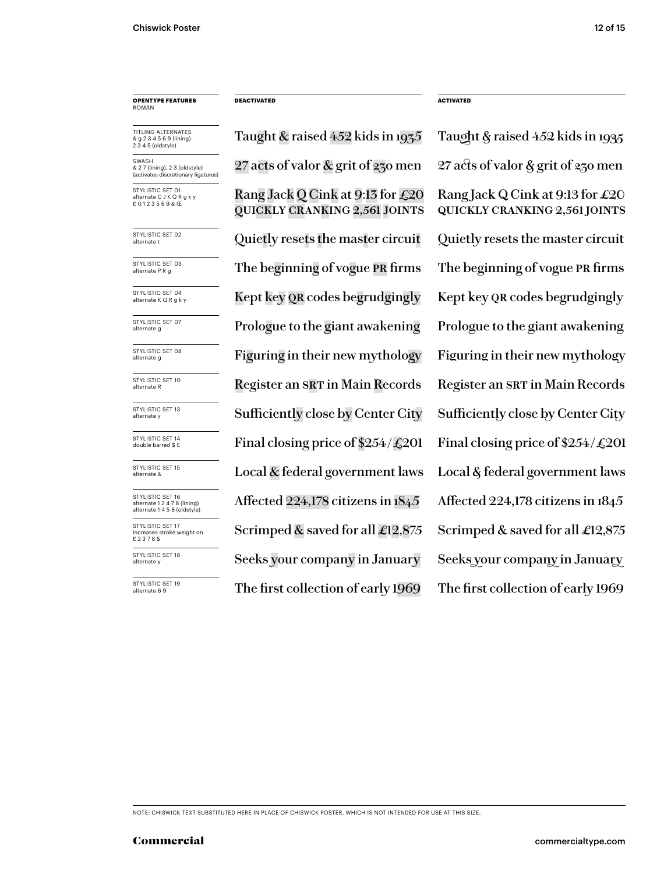# **OPENTYPE FEATURES** ROMAN

TITLING ALTERNATES & g 2 3 4 5 6 9 (lining) 2 3 4 5 (oldstyle)

SWASH & 2 7 (lining), 2 3 (oldstyle) (activates discretionary ligatures)

STYLISTIC SET 01 nate C J K Q R g k y £ 0 1 2 3 5 6 9 & Œ

STYLISTIC SET 02<br>alternate t

STYLISTIC SET 03<br>alternate P R g

STYLISTIC SET 04<br>alternate K Q R g k y

STYLISTIC SET 07<br>alternate g

STYLISTIC SET 08<br>alternate g

STYLISTIC SET 10<br>alternate R

STYLISTIC SET 13<br>alternate y

STYLISTIC SET 14<br>double barred \$ £

STYLISTIC SET 15<br>alternate &

STYLISTIC SET 16 alternate 1 2 4 7 8 (lining) alternate 1 4 5 8 (oldstyle) STYLISTIC SET 17

increases stroke weight on £ 2 3 7 8 &

STYLISTIC SET 18<br>alternate y

STYLISTIC SET 19<br>alternate 6 9

Rang Jack Q Cink at 9:13 for £20 quickly cranking 2,561 joints 27 acts of valor & grit of 230 men 27 acts of valor & grit of 230 men Quietly resets the master circuit Quietly resets the master circuit The beginning of vogue PR firms The beginning of vogue PR firms Kept key QR codes begrudgingly Kept key QR codes begrudgingly Prologue to the giant awakening Prologue to the giant awakening Figuring in their new mythology Figuring in their new mythology Register an SRT in Main Records Register an SRT in Main Records Final closing price of  $$254/\text{\textsterling}201$  Final closing price of  $$254/\text{\textsterling}201$ Local  $\&$  federal government laws Local  $\&$  federal government laws Affected 224,178 citizens in 1845 Affected 224,178 citizens in 1845 Scrimped & saved for all  $\pounds$ 12,875 Scrimped & saved for all  $\pounds$ 12,875 The first collection of early 1969 The first collection of early 1969 Sufficiently close by Center City Sufficiently close by Center City Seeks your company in January Seeks your company in January

**DEACTIVATED ACTIVATED**

Taught & raised 452 kids in 1935 Taught & raised 452 kids in 1935 Rang Jack Q Cink at 9:13 for  $\pounds 20$ quickly cranking 2,561 joints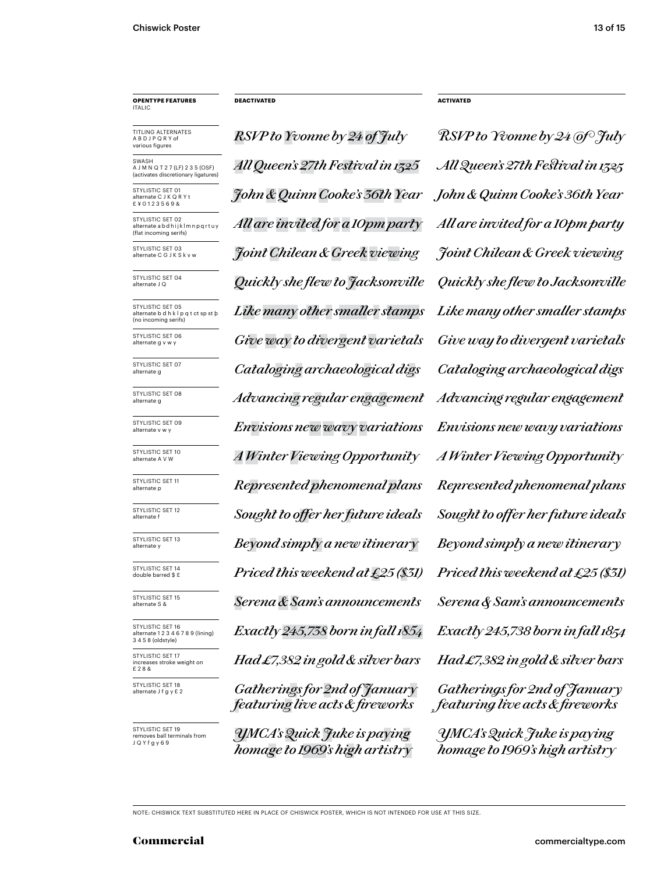# **OPENTYPE FEATURES** ITALIC

TITLING ALTERNATES A B D J P Q R Y of various figures

**SWASH** A J M N Q T 2 7 (LF) 2 3 5 (OSF)<br>(activates discretionary ligatures) (activates discretic

STYLISTIC SET 01 ate C J K Q R Y t £ ¥ 0 1 2 3 5 6 9 &

STYLISTIC SET 02 alternate a b d h i j k l m n p q r t u y (flat incoming serifs)

STYLISTIC SET 03<br>alternate C G J K S k v w

STYLISTIC SET 04

STYLISTIC SET 05 alternate b d h k l p q t ct sp st þ (no incoming serifs)

STYLISTIC SET 06<br>alternate g v w y

STYLISTIC SET 07

STYLISTIC SET 08<br>alternate g

STYLISTIC SET 09<br>alternate v w v

STYLISTIC SET 10<br>alternate A V W

STYLISTIC SET 11<br>alternate p

STYLISTIC SET 12<br>alternate f

STYLISTIC SET 13<br>alternate v

STYLISTIC SET 14<br>double barred \$ £

STYLISTIC SET 15<br>alternate S &

STYLISTIC SET 16 alternate 1 2 3 4 6 7 8 9 (lining) 3 4 5 8 (oldstyle) STYLISTIC SET 17 increases stroke weight on

£ 2 8 &

STYLISTIC SET 18<br>alternate J f q y £ 2

STYLISTIC SET 19 ves ball terminals from J Q Y f g y 6 9

*RSVP to Yvonne by 24 of July RSVP to Yvonne by 24 of July John & Quinn Cooke's 36th Year John & Quinn Cooke's 36th Year All Queen's 27th Festival in 1325 All Queen's 27th Festival in 1325 All are invited for a 10pm party All are invited for a 10pm party* alternate C G J K S k v w *Joint Chilean & Greek viewing Joint Chilean & Greek viewing* alternate J Q *Quickly she flew to Jacksonville Quickly she flew to Jacksonville Like many other smaller stamps Like many other smaller stamps* Give way to divergent varietals Give way to divergent varietals alternate g *Cataloging archaeological digs Cataloging archaeological digs* alternate g *Advancing regular engagement Advancing regular engagement* alternate v w y *Envisions new wavy variations Envisions new wavy variations* alternate p *Represented phenomenal plans Represented phenomenal plans Priced this weekend at £25 (\$31) Priced this weekend at £25 (\$31)* alternate S & *Serena & Sam's announcements Serena & Sam's announcements Exactly 245,738 born in fall 1854 Had £7,382 in gold & silver bars* alternate A V W *A Winter Viewing Opportunity A Winter Viewing Opportunity*  $Sought$  to offer her future ideals  $Sought$  to offer her future ideals alternate y *Beyond simply a new itinerary Beyond simply a new itinerary*

> alternate J f g y £ 2 *Gatherings for 2nd of January featuring live acts & fireworks*

*YMCA'sQuick Juke is paying homage to 1969's high artistry*

**DEACTIVATED ACTIVATED**

*Exactly 245,738 born in fall 1854 Had �7,382 in gold & silver bars YMCA's Quick Juke is paying Gatherings for �nd of January featuring live acts & fireworks*

*homage to 1969's high artistry*

NOTE: CHISWICK TEXT SUBSTITUTED HERE IN PLACE OF CHISWICK POSTER, WHICH IS NOT INTENDED FOR USE AT THIS SIZE.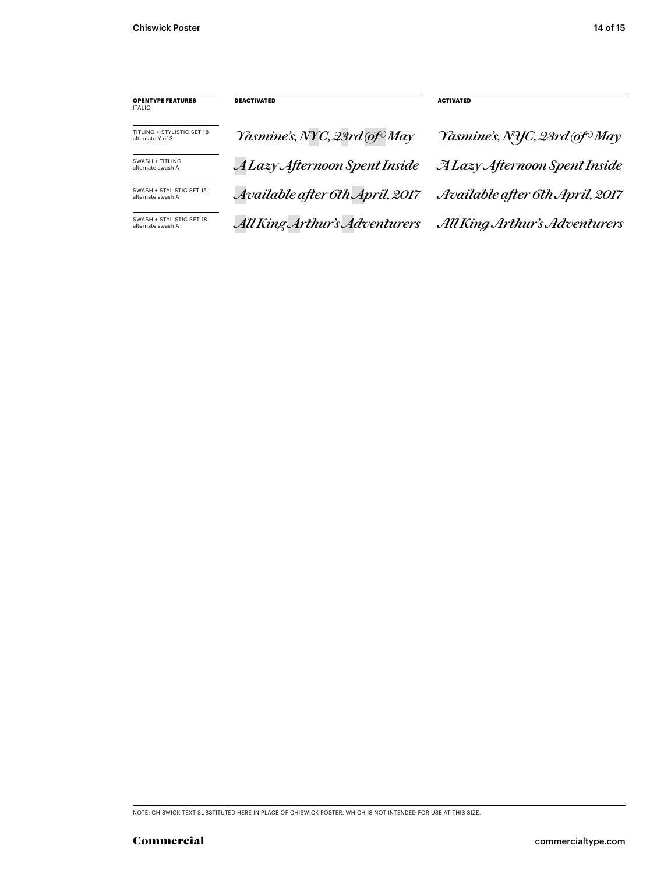| <b>OPENTYPE FEATURES</b><br>ITALIC.            | <b>DEACTIVATED</b>              | <b>ACTIVATED</b>                         |
|------------------------------------------------|---------------------------------|------------------------------------------|
| TITLING + STYLISTIC SFT 18<br>alternate Y of 3 | Yasmine's, NYC, 23rd @f May     | Yasmine's, NYC, 23rd @f <sup>o</sup> May |
| SWASH + TITLING<br>alternate swash A           | A Lazy Afternoon Spent Inside   | <b>ALazy Afternoon Spent Inside</b>      |
| SWASH + STYLISTIC SFT 15<br>alternate swash A  | Available after 6th April, 2017 | Available after 6th April, 2017          |
| SWASH + STYLISTIC SET 18<br>alternate swash A  | All King Arthur's Adventurers   | All King Arthur's Adventurers            |